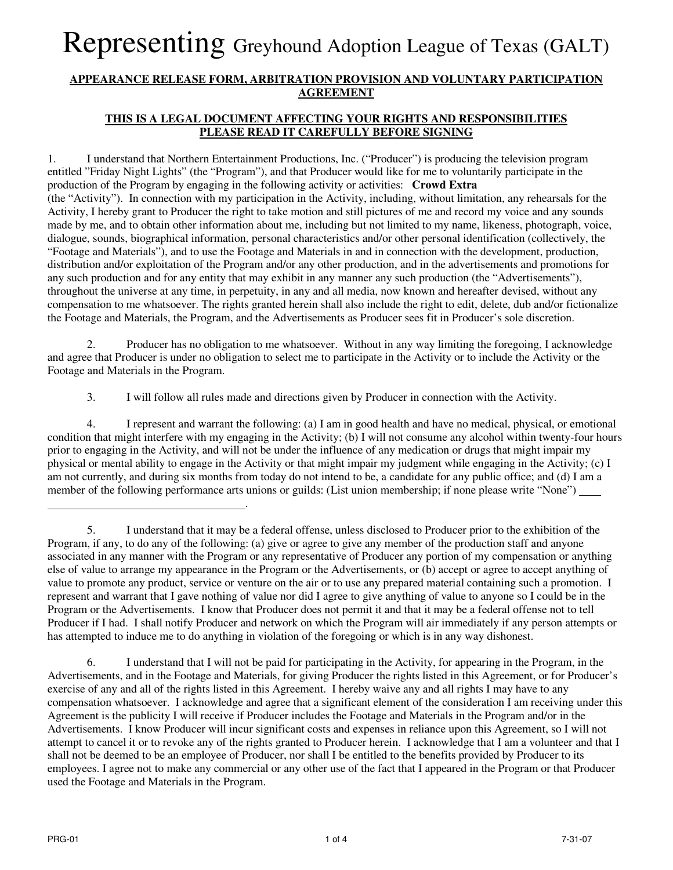#### **APPEARANCE RELEASE FORM, ARBITRATION PROVISION AND VOLUNTARY PARTICIPATION AGREEMENT**

### **THIS IS A LEGAL DOCUMENT AFFECTING YOUR RIGHTS AND RESPONSIBILITIES PLEASE READ IT CAREFULLY BEFORE SIGNING**

1. I understand that Northern Entertainment Productions, Inc. ("Producer") is producing the television program entitled "Friday Night Lights" (the "Program"), and that Producer would like for me to voluntarily participate in the production of the Program by engaging in the following activity or activities: **Crowd Extra**  (the "Activity"). In connection with my participation in the Activity, including, without limitation, any rehearsals for the Activity, I hereby grant to Producer the right to take motion and still pictures of me and record my voice and any sounds made by me, and to obtain other information about me, including but not limited to my name, likeness, photograph, voice, dialogue, sounds, biographical information, personal characteristics and/or other personal identification (collectively, the "Footage and Materials"), and to use the Footage and Materials in and in connection with the development, production, distribution and/or exploitation of the Program and/or any other production, and in the advertisements and promotions for any such production and for any entity that may exhibit in any manner any such production (the "Advertisements"), throughout the universe at any time, in perpetuity, in any and all media, now known and hereafter devised, without any compensation to me whatsoever. The rights granted herein shall also include the right to edit, delete, dub and/or fictionalize the Footage and Materials, the Program, and the Advertisements as Producer sees fit in Producer's sole discretion.

2. Producer has no obligation to me whatsoever. Without in any way limiting the foregoing, I acknowledge and agree that Producer is under no obligation to select me to participate in the Activity or to include the Activity or the Footage and Materials in the Program.

3. I will follow all rules made and directions given by Producer in connection with the Activity.

4. I represent and warrant the following: (a) I am in good health and have no medical, physical, or emotional condition that might interfere with my engaging in the Activity; (b) I will not consume any alcohol within twenty-four hours prior to engaging in the Activity, and will not be under the influence of any medication or drugs that might impair my physical or mental ability to engage in the Activity or that might impair my judgment while engaging in the Activity; (c) I am not currently, and during six months from today do not intend to be, a candidate for any public office; and (d) I am a member of the following performance arts unions or guilds: (List union membership; if none please write "None")

6. I understand that I will not be paid for participating in the Activity, for appearing in the Program, in the Advertisements, and in the Footage and Materials, for giving Producer the rights listed in this Agreement, or for Producer's exercise of any and all of the rights listed in this Agreement. I hereby waive any and all rights I may have to any compensation whatsoever. I acknowledge and agree that a significant element of the consideration I am receiving under this Agreement is the publicity I will receive if Producer includes the Footage and Materials in the Program and/or in the Advertisements. I know Producer will incur significant costs and expenses in reliance upon this Agreement, so I will not attempt to cancel it or to revoke any of the rights granted to Producer herein. I acknowledge that I am a volunteer and that I shall not be deemed to be an employee of Producer, nor shall I be entitled to the benefits provided by Producer to its employees. I agree not to make any commercial or any other use of the fact that I appeared in the Program or that Producer used the Footage and Materials in the Program.

.

<sup>5.</sup> I understand that it may be a federal offense, unless disclosed to Producer prior to the exhibition of the Program, if any, to do any of the following: (a) give or agree to give any member of the production staff and anyone associated in any manner with the Program or any representative of Producer any portion of my compensation or anything else of value to arrange my appearance in the Program or the Advertisements, or (b) accept or agree to accept anything of value to promote any product, service or venture on the air or to use any prepared material containing such a promotion. I represent and warrant that I gave nothing of value nor did I agree to give anything of value to anyone so I could be in the Program or the Advertisements. I know that Producer does not permit it and that it may be a federal offense not to tell Producer if I had. I shall notify Producer and network on which the Program will air immediately if any person attempts or has attempted to induce me to do anything in violation of the foregoing or which is in any way dishonest.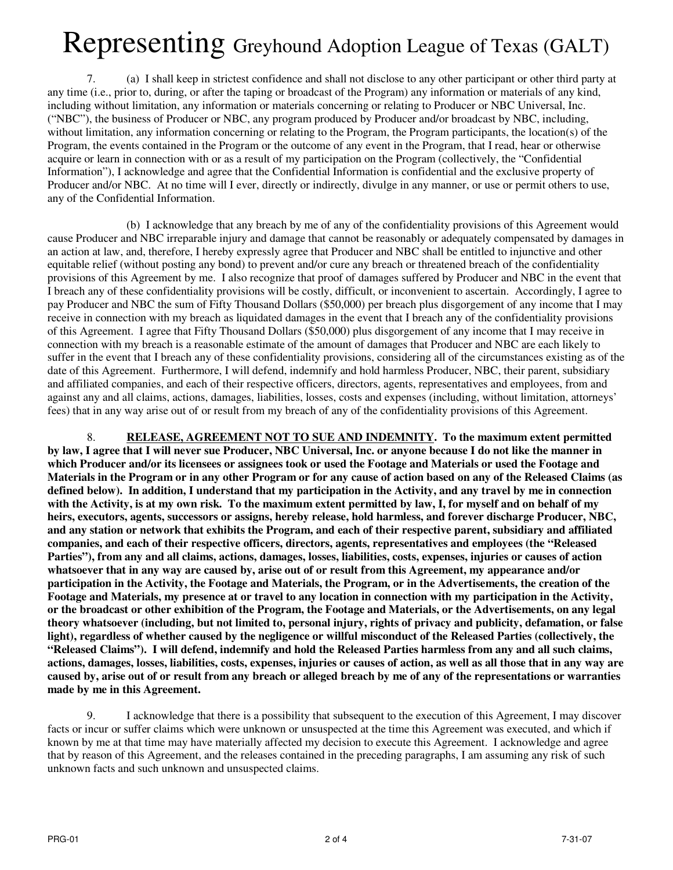7. (a) I shall keep in strictest confidence and shall not disclose to any other participant or other third party at any time (i.e., prior to, during, or after the taping or broadcast of the Program) any information or materials of any kind, including without limitation, any information or materials concerning or relating to Producer or NBC Universal, Inc. ("NBC"), the business of Producer or NBC, any program produced by Producer and/or broadcast by NBC, including, without limitation, any information concerning or relating to the Program, the Program participants, the location(s) of the Program, the events contained in the Program or the outcome of any event in the Program, that I read, hear or otherwise acquire or learn in connection with or as a result of my participation on the Program (collectively, the "Confidential Information"), I acknowledge and agree that the Confidential Information is confidential and the exclusive property of Producer and/or NBC. At no time will I ever, directly or indirectly, divulge in any manner, or use or permit others to use, any of the Confidential Information.

 (b) I acknowledge that any breach by me of any of the confidentiality provisions of this Agreement would cause Producer and NBC irreparable injury and damage that cannot be reasonably or adequately compensated by damages in an action at law, and, therefore, I hereby expressly agree that Producer and NBC shall be entitled to injunctive and other equitable relief (without posting any bond) to prevent and/or cure any breach or threatened breach of the confidentiality provisions of this Agreement by me. I also recognize that proof of damages suffered by Producer and NBC in the event that I breach any of these confidentiality provisions will be costly, difficult, or inconvenient to ascertain. Accordingly, I agree to pay Producer and NBC the sum of Fifty Thousand Dollars (\$50,000) per breach plus disgorgement of any income that I may receive in connection with my breach as liquidated damages in the event that I breach any of the confidentiality provisions of this Agreement. I agree that Fifty Thousand Dollars (\$50,000) plus disgorgement of any income that I may receive in connection with my breach is a reasonable estimate of the amount of damages that Producer and NBC are each likely to suffer in the event that I breach any of these confidentiality provisions, considering all of the circumstances existing as of the date of this Agreement. Furthermore, I will defend, indemnify and hold harmless Producer, NBC, their parent, subsidiary and affiliated companies, and each of their respective officers, directors, agents, representatives and employees, from and against any and all claims, actions, damages, liabilities, losses, costs and expenses (including, without limitation, attorneys' fees) that in any way arise out of or result from my breach of any of the confidentiality provisions of this Agreement.

8. **RELEASE, AGREEMENT NOT TO SUE AND INDEMNITY. To the maximum extent permitted by law, I agree that I will never sue Producer, NBC Universal, Inc. or anyone because I do not like the manner in which Producer and/or its licensees or assignees took or used the Footage and Materials or used the Footage and Materials in the Program or in any other Program or for any cause of action based on any of the Released Claims (as defined below). In addition, I understand that my participation in the Activity, and any travel by me in connection with the Activity, is at my own risk. To the maximum extent permitted by law, I, for myself and on behalf of my heirs, executors, agents, successors or assigns, hereby release, hold harmless, and forever discharge Producer, NBC, and any station or network that exhibits the Program, and each of their respective parent, subsidiary and affiliated companies, and each of their respective officers, directors, agents, representatives and employees (the "Released Parties"), from any and all claims, actions, damages, losses, liabilities, costs, expenses, injuries or causes of action whatsoever that in any way are caused by, arise out of or result from this Agreement, my appearance and/or participation in the Activity, the Footage and Materials, the Program, or in the Advertisements, the creation of the Footage and Materials, my presence at or travel to any location in connection with my participation in the Activity, or the broadcast or other exhibition of the Program, the Footage and Materials, or the Advertisements, on any legal theory whatsoever (including, but not limited to, personal injury, rights of privacy and publicity, defamation, or false light), regardless of whether caused by the negligence or willful misconduct of the Released Parties (collectively, the "Released Claims"). I will defend, indemnify and hold the Released Parties harmless from any and all such claims, actions, damages, losses, liabilities, costs, expenses, injuries or causes of action, as well as all those that in any way are caused by, arise out of or result from any breach or alleged breach by me of any of the representations or warranties made by me in this Agreement.**

9. I acknowledge that there is a possibility that subsequent to the execution of this Agreement, I may discover facts or incur or suffer claims which were unknown or unsuspected at the time this Agreement was executed, and which if known by me at that time may have materially affected my decision to execute this Agreement. I acknowledge and agree that by reason of this Agreement, and the releases contained in the preceding paragraphs, I am assuming any risk of such unknown facts and such unknown and unsuspected claims.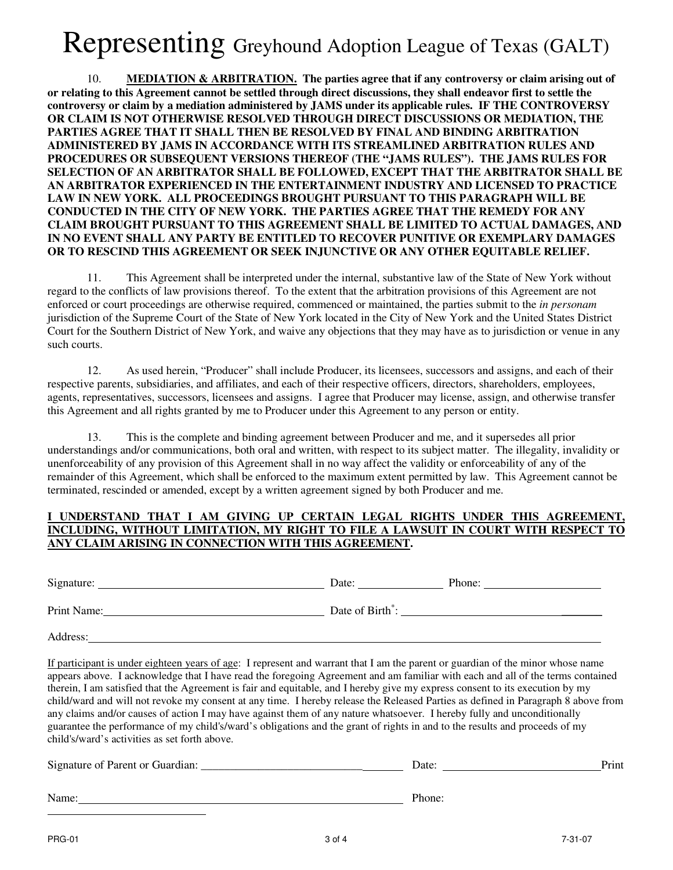10. **MEDIATION & ARBITRATION. The parties agree that if any controversy or claim arising out of or relating to this Agreement cannot be settled through direct discussions, they shall endeavor first to settle the controversy or claim by a mediation administered by JAMS under its applicable rules. IF THE CONTROVERSY OR CLAIM IS NOT OTHERWISE RESOLVED THROUGH DIRECT DISCUSSIONS OR MEDIATION, THE PARTIES AGREE THAT IT SHALL THEN BE RESOLVED BY FINAL AND BINDING ARBITRATION ADMINISTERED BY JAMS IN ACCORDANCE WITH ITS STREAMLINED ARBITRATION RULES AND PROCEDURES OR SUBSEQUENT VERSIONS THEREOF (THE "JAMS RULES"). THE JAMS RULES FOR SELECTION OF AN ARBITRATOR SHALL BE FOLLOWED, EXCEPT THAT THE ARBITRATOR SHALL BE AN ARBITRATOR EXPERIENCED IN THE ENTERTAINMENT INDUSTRY AND LICENSED TO PRACTICE LAW IN NEW YORK. ALL PROCEEDINGS BROUGHT PURSUANT TO THIS PARAGRAPH WILL BE CONDUCTED IN THE CITY OF NEW YORK. THE PARTIES AGREE THAT THE REMEDY FOR ANY CLAIM BROUGHT PURSUANT TO THIS AGREEMENT SHALL BE LIMITED TO ACTUAL DAMAGES, AND IN NO EVENT SHALL ANY PARTY BE ENTITLED TO RECOVER PUNITIVE OR EXEMPLARY DAMAGES OR TO RESCIND THIS AGREEMENT OR SEEK INJUNCTIVE OR ANY OTHER EQUITABLE RELIEF.**

11. This Agreement shall be interpreted under the internal, substantive law of the State of New York without regard to the conflicts of law provisions thereof. To the extent that the arbitration provisions of this Agreement are not enforced or court proceedings are otherwise required, commenced or maintained, the parties submit to the *in personam* jurisdiction of the Supreme Court of the State of New York located in the City of New York and the United States District Court for the Southern District of New York, and waive any objections that they may have as to jurisdiction or venue in any such courts.

 12. As used herein, "Producer" shall include Producer, its licensees, successors and assigns, and each of their respective parents, subsidiaries, and affiliates, and each of their respective officers, directors, shareholders, employees, agents, representatives, successors, licensees and assigns. I agree that Producer may license, assign, and otherwise transfer this Agreement and all rights granted by me to Producer under this Agreement to any person or entity.

 13. This is the complete and binding agreement between Producer and me, and it supersedes all prior understandings and/or communications, both oral and written, with respect to its subject matter. The illegality, invalidity or unenforceability of any provision of this Agreement shall in no way affect the validity or enforceability of any of the remainder of this Agreement, which shall be enforced to the maximum extent permitted by law. This Agreement cannot be terminated, rescinded or amended, except by a written agreement signed by both Producer and me.

#### **I UNDERSTAND THAT I AM GIVING UP CERTAIN LEGAL RIGHTS UNDER THIS AGREEMENT, INCLUDING, WITHOUT LIMITATION, MY RIGHT TO FILE A LAWSUIT IN COURT WITH RESPECT TO ANY CLAIM ARISING IN CONNECTION WITH THIS AGREEMENT.**

Signature: Date: Phone:

Print Name: Date of Birth<sup>∗</sup> : \_\_\_\_\_\_\_

Address:

If participant is under eighteen years of age: I represent and warrant that I am the parent or guardian of the minor whose name appears above. I acknowledge that I have read the foregoing Agreement and am familiar with each and all of the terms contained therein, I am satisfied that the Agreement is fair and equitable, and I hereby give my express consent to its execution by my child/ward and will not revoke my consent at any time. I hereby release the Released Parties as defined in Paragraph 8 above from any claims and/or causes of action I may have against them of any nature whatsoever. I hereby fully and unconditionally guarantee the performance of my child's/ward's obligations and the grant of rights in and to the results and proceeds of my child's/ward's activities as set forth above.

| Signature of Parent or Guardian: | Date:  | Print |
|----------------------------------|--------|-------|
|                                  |        |       |
| Name:                            | Phone: |       |

 $\overline{a}$